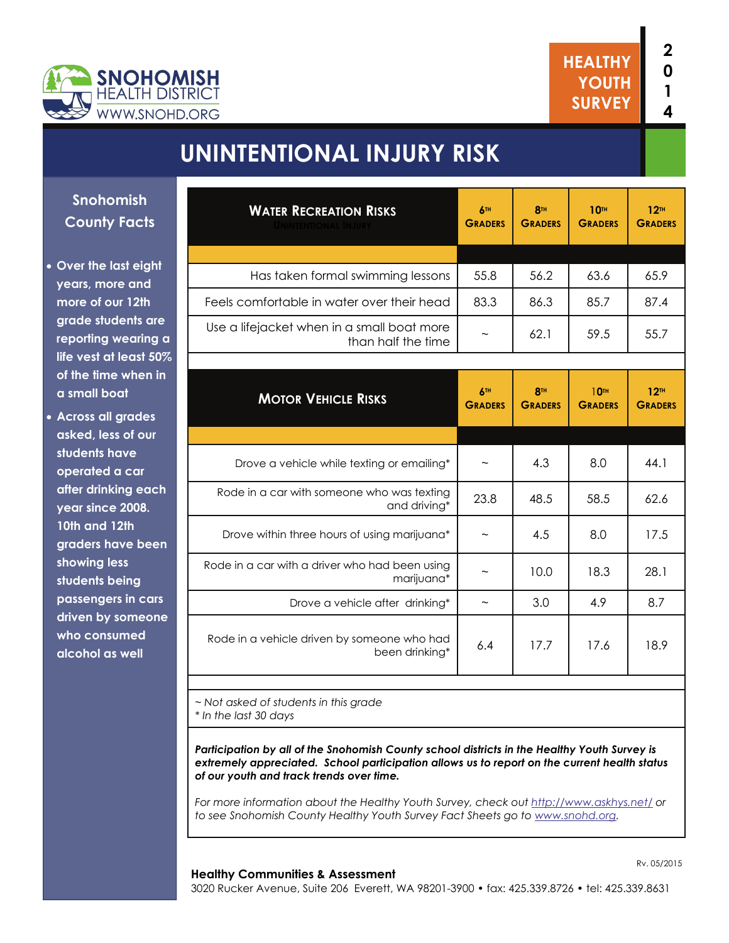



# **UNINTENTIONAL INJURY RISK**

**Snohomish County Facts** 

 **Over the last eight years, more and more of our 12th grade students are reporting wearing a life vest at least 50% of the time when in a small boat** 

 **Across all grades asked, less of our students have operated a car after drinking each year since 2008. 10th and 12th graders have been showing less students being passengers in cars driven by someone who consumed alcohol as well** 

| <b>WATER RECREATION RISKS</b>                                    | 6TH<br><b>GRADERS</b> | <b>8TH</b><br><b>GRADERS</b> | <b>10TH</b><br><b>GRADERS</b>      | 12 <sup>TH</sup><br><b>GRADERS</b> |
|------------------------------------------------------------------|-----------------------|------------------------------|------------------------------------|------------------------------------|
|                                                                  |                       |                              |                                    |                                    |
| Has taken formal swimming lessons                                | 55.8                  | 56.2                         | 63.6                               | 65.9                               |
| Feels comfortable in water over their head                       | 83.3                  | 86.3                         | 85.7                               | 87.4                               |
| Use a lifejacket when in a small boat more<br>than half the time |                       | 62.1                         | 59.5                               | 55.7                               |
|                                                                  |                       |                              |                                    |                                    |
| <b>MOTOR VEHICLE RISKS</b>                                       | 6TH<br><b>GRADERS</b> | <b>8TH</b><br><b>GRADERS</b> | 10 <sup>th</sup><br><b>GRADERS</b> | 12 <sup>TH</sup><br><b>GRADERS</b> |
|                                                                  |                       |                              |                                    |                                    |
| Drove a vehicle while texting or emailing*                       |                       | 4.3                          | 8.0                                | 44.1                               |
| Rode in a car with someone who was texting<br>and driving*       | 23.8                  | 48.5                         | 58.5                               | 62.6                               |
| Drove within three hours of using marijuana*                     |                       | 4.5                          | 8.0                                | 17.5                               |
| Rode in a car with a driver who had been using<br>marijuana*     |                       | 10.0                         | 18.3                               | 28.1                               |
| Drove a vehicle after drinking*                                  | $\tilde{}$            | 3.0                          | 4.9                                | 8.7                                |
| Rode in a vehicle driven by someone who had<br>been drinking*    | 6.4                   | 17.7                         | 17.6                               | 18.9                               |

*~ Not asked of students in this grade \* In the last 30 days*

*Participation by all of the Snohomish County school districts in the Healthy Youth Survey is extremely appreciated. School participation allows us to report on the current health status of our youth and track trends over time.* 

*For more information about the Healthy Youth Survey, check out<http://www.askhys.net/> or to see Snohomish County Healthy Youth Survey Fact Sheets go to [www.snohd.org](http://www.snohd.org/).* 

#### **Healthy Communities & Assessment**

3020 Rucker Avenue, Suite 206 Everett, WA 98201-3900 • fax: 425.339.8726 • tel: 425.339.8631